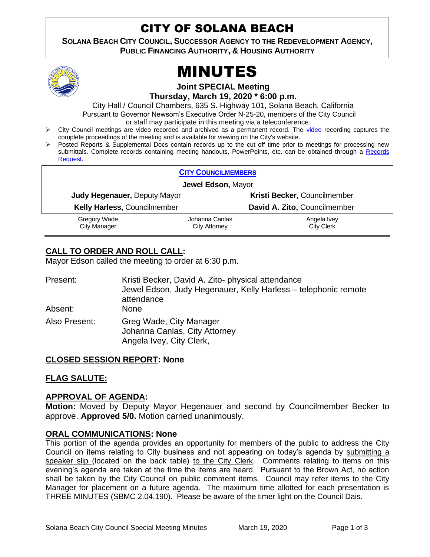# CITY OF SOLANA BEACH

**SOLANA BEACH CITY COUNCIL, SUCCESSOR AGENCY TO THE REDEVELOPMENT AGENCY,**

**PUBLIC FINANCING AUTHORITY, & HOUSING AUTHORITY** 





**Joint SPECIAL Meeting**

**Thursday, March 19, 2020 \* 6:00 p.m.** 

City Hall / Council Chambers, 635 S. Highway 101, Solana Beach, California

Pursuant to Governor Newsom's Executive Order N-25-20, members of the City Council

or staff may participate in this meeting via a teleconference.

- City Council meetings are [video r](https://solanabeach.12milesout.com/#page=1)ecorded and archived as a permanent record. The video recording captures the complete proceedings of the meeting and is available for viewing on the City's website.
- Posted Reports & Supplemental Docs contain records up to the cut off time prior to meetings for processing new submittals. Complete records containing meeting handouts, PowerPoints, etc. can be obtained through a Records [Request.](http://www.ci.solana-beach.ca.us/index.asp?SEC=F5D45D10-70CE-4291-A27C-7BD633FC6742&Type=B_BASIC)

| <b>CITY COUNCILMEMBERS</b>      |                                                                     |  |
|---------------------------------|---------------------------------------------------------------------|--|
| Jewel Edson, Mayor              |                                                                     |  |
|                                 | Kristi Becker, Councilmember                                        |  |
|                                 | David A. Zito, Councilmember                                        |  |
| Johanna Canlas<br>City Attorney | Angela Ivey<br><b>City Clerk</b>                                    |  |
|                                 | <b>Judy Hegenauer, Deputy Mayor</b><br>Kelly Harless, Councilmember |  |

# **CALL TO ORDER AND ROLL CALL:**

Mayor Edson called the meeting to order at 6:30 p.m.

| Present:      | Kristi Becker, David A. Zito- physical attendance<br>Jewel Edson, Judy Hegenauer, Kelly Harless - telephonic remote<br>attendance |
|---------------|-----------------------------------------------------------------------------------------------------------------------------------|
| Absent:       | <b>None</b>                                                                                                                       |
| Also Present: | Greg Wade, City Manager<br>Johanna Canlas, City Attorney<br>Angela Ivey, City Clerk,                                              |

# **CLOSED SESSION REPORT: None**

# **FLAG SALUTE:**

#### **APPROVAL OF AGENDA:**

**Motion:** Moved by Deputy Mayor Hegenauer and second by Councilmember Becker to approve. **Approved 5/0.** Motion carried unanimously.

#### **ORAL COMMUNICATIONS: None**

This portion of the agenda provides an opportunity for members of the public to address the City Council on items relating to City business and not appearing on today's agenda by submitting a speaker slip (located on the back table) to the City Clerk. Comments relating to items on this evening's agenda are taken at the time the items are heard. Pursuant to the Brown Act, no action shall be taken by the City Council on public comment items. Council may refer items to the City Manager for placement on a future agenda. The maximum time allotted for each presentation is THREE MINUTES (SBMC 2.04.190). Please be aware of the timer light on the Council Dais.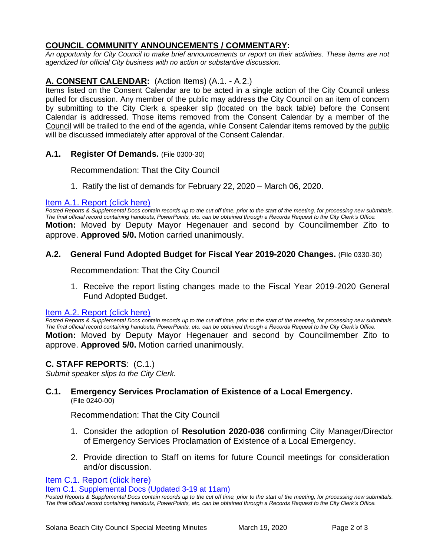# **COUNCIL COMMUNITY ANNOUNCEMENTS / COMMENTARY:**

*An opportunity for City Council to make brief announcements or report on their activities. These items are not agendized for official City business with no action or substantive discussion.* 

# **A. CONSENT CALENDAR:** (Action Items) (A.1. - A.2.)

Items listed on the Consent Calendar are to be acted in a single action of the City Council unless pulled for discussion. Any member of the public may address the City Council on an item of concern by submitting to the City Clerk a speaker slip (located on the back table) before the Consent Calendar is addressed. Those items removed from the Consent Calendar by a member of the Council will be trailed to the end of the agenda, while Consent Calendar items removed by the public will be discussed immediately after approval of the Consent Calendar.

# **A.1. Register Of Demands.** (File 0300-30)

Recommendation: That the City Council

[1. Ratify the list of demands for](https://solanabeach.govoffice3.com/vertical/Sites/%7B840804C2-F869-4904-9AE3-720581350CE7%7D/uploads/Item_A.1._Report_(click_here)_03-19-20_-_O.pdf) February 22, 2020 – March 06, 2020.

#### [Item A.1. Report \(click here\)](https://solanabeach.govoffice3.com/vertical/Sites/%7B840804C2-F869-4904-9AE3-720581350CE7%7D/uploads/Item_A.1._Report_(click_here)_03-19-20_-_O.pdf)

*Posted Reports & Supplemental Docs contain records up to the cut off time, prior to the start of the meeting, for processing new submittals. The final official record containing handouts, PowerPoints, etc. can be obtained through a Records Request to the City Clerk's Office.* **Motion:** Moved by Deputy Mayor Hegenauer and second by Councilmember Zito to approve. **Approved 5/0.** Motion carried unanimously.

#### **A.2. General Fund Adopted Budget for Fiscal Year 2019-2020 Changes.** (File 0330-30)

Recommendation: That the City Council

1. Receive the report listing changes made to the Fiscal Year 2019-2020 General Fund Adopted Budget.

#### [Item A.2. Report \(click here\)](https://solanabeach.govoffice3.com/vertical/Sites/%7B840804C2-F869-4904-9AE3-720581350CE7%7D/uploads/Item_A.2._Report_(click_here)_03-19-20_-_O.pdf)

*Posted Reports & Supplemental Docs contain records up to the cut off time, prior to the start of the meeting, for processing new submittals. The final official record containing handouts, PowerPoints, etc. can be obtained through a Records Request to the City Clerk's Office.* **Motion:** Moved by Deputy Mayor Hegenauer and second by Councilmember Zito to approve. **Approved 5/0.** Motion carried unanimously.

# **C. STAFF REPORTS**: (C.1.)

*Submit speaker slips to the City Clerk.*

#### **C.1. Emergency Services Proclamation of Existence of a Local Emergency.** (File 0240-00)

Recommendation: That the City Council

- 1. Consider the adoption of **Resolution 2020-036** confirming City Manager/Director of Emergency Services Proclamation of Existence of a Local Emergency.
- 2. Provide direction to Staff on items for future Council meetings for consideration and/or discussion.

[Item C.1. Report](https://solanabeach.govoffice3.com/vertical/Sites/%7B840804C2-F869-4904-9AE3-720581350CE7%7D/uploads/Item_C.1._Report_(click_here)_03-19-20_-_O.pdf) (click here)

[Item C.1. Supplemental Docs \(Updated 3-19 at 11am\)](https://solanabeach.govoffice3.com/vertical/Sites/%7B840804C2-F869-4904-9AE3-720581350CE7%7D/uploads/Item_C.1._Supplemental_Docs_(Upd._3-19_at_1015am)_-_O.pdf)

*Posted Reports & Supplemental Docs contain records up to the cut off time, prior to the start of the meeting, for processing new submittals. The final official record containing handouts, PowerPoints, etc. can be obtained through a Records Request to the City Clerk's Office.*